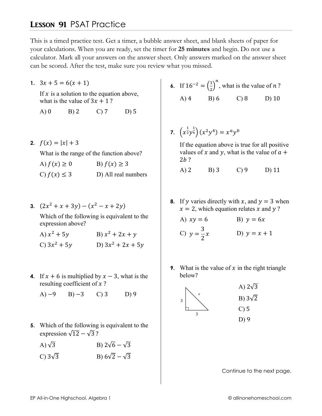## **LESSON 91 PSAT Practice**

This is a timed practice test. Get a timer, a bubble answer sheet, and blank sheets of paper for your calculations. When you are ready, set the timer for 25 minutes and begin. Do not use a calculator. Mark all your answers on the answer sheet. Only answers marked on the answer sheet can be scored. After the test, make sure you review what you missed.

1.  $3x + 5 = 6(x + 1)$ 

If  $x$  is a solution to the equation above, what is the value of  $3x + 1$ ?

 $A)0$  $B)2$  $C<sub>2</sub>$  $D$ ) 5

2.  $f(x) = |x| + 3$ 

What is the range of the function above?

| A) $f(x) \geq 0$ | B) $f(x) \geq 3$    |
|------------------|---------------------|
| C) $f(x) \leq 3$ | D) All real numbers |

3.  $(2x^2 + x + 3y) - (x^2 - x + 2y)$ 

Which of the following is equivalent to the expression above?

| A) $x^2 + 5y$  | B) $x^2 + 2x + y$   |
|----------------|---------------------|
| C) $3x^2 + 5y$ | D) $3x^2 + 2x + 5y$ |

- 4. If  $x + 6$  is multiplied by  $x 3$ , what is the resulting coefficient of  $x$ ?
	- $(A) -9$  $B) -3$  $C$ ) 3  $D$ ) 9
- 5. Which of the following is equivalent to the expression  $\sqrt{12} - \sqrt{3}$ ?
	- B)  $2\sqrt{6} \sqrt{3}$ A)  $\sqrt{3}$
	- B)  $6\sqrt{2} \sqrt{3}$ C)  $3\sqrt{3}$
- 6. If  $16^{-2} = (\frac{1}{2})^n$ , what is the value of *n*?  $A) 4$  B) 6  $C$ ) 8  $D)$  10
- 7.  $\left(x^{\frac{1}{2}}y^{\frac{1}{4}}\right)(x^2y^4) = x^ay^b$

If the equation above is true for all positive values of x and y, what is the value of  $a +$  $2b$ ?

- $A)$  2  $B)$  3  $C$ ) 9  $D)$  11
- 8. If y varies directly with x, and  $y = 3$  when  $x = 2$ , which equation relates x and y?

A) 
$$
xy = 6
$$
  
\nB)  $y = 6x$   
\nC)  $y = \frac{3}{2}x$   
\nD)  $y = x + 1$ 

9. What is the value of  $x$  in the right triangle below?



Continue to the next page.